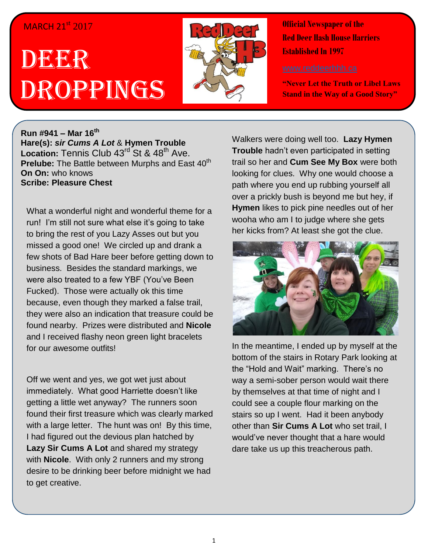## MARCH 21<sup>st</sup> 2017

## DEER Droppings



**Official Newspaper of the Red Deer Hash House Harriers Established In 1997** 

**"Never Let the Truth or Libel Laws Stand in the Way of a Good Story"**

**Run #941 – Mar 16 th Hare(s):** *sir Cums A Lot* & **Hymen Trouble** Location: Tennis Club 43<sup>rd</sup> St & 48<sup>th</sup> Ave. Prelube: The Battle between Murphs and East 40<sup>th</sup> **On On:** who knows **Scribe: Pleasure Chest**

What a wonderful night and wonderful theme for a run! I'm still not sure what else it's going to take to bring the rest of you Lazy Asses out but you missed a good one! We circled up and drank a few shots of Bad Hare beer before getting down to business. Besides the standard markings, we were also treated to a few YBF (You've Been Fucked). Those were actually ok this time because, even though they marked a false trail, they were also an indication that treasure could be found nearby. Prizes were distributed and **Nicole** and I received flashy neon green light bracelets for our awesome outfits!

Off we went and yes, we got wet just about immediately. What good Harriette doesn't like getting a little wet anyway? The runners soon found their first treasure which was clearly marked with a large letter. The hunt was on! By this time, I had figured out the devious plan hatched by **Lazy Sir Cums A Lot** and shared my strategy with **Nicole**. With only 2 runners and my strong desire to be drinking beer before midnight we had to get creative.

Walkers were doing well too. **Lazy Hymen Trouble** hadn't even participated in setting trail so her and **Cum See My Box** were both looking for clues. Why one would choose a path where you end up rubbing yourself all over a prickly bush is beyond me but hey, if **Hymen** likes to pick pine needles out of her wooha who am I to judge where she gets her kicks from? At least she got the clue.



In the meantime, I ended up by myself at the bottom of the stairs in Rotary Park looking at the "Hold and Wait" marking. There's no way a semi-sober person would wait there by themselves at that time of night and I could see a couple flour marking on the stairs so up I went. Had it been anybody other than **Sir Cums A Lot** who set trail, I would've never thought that a hare would dare take us up this treacherous path.